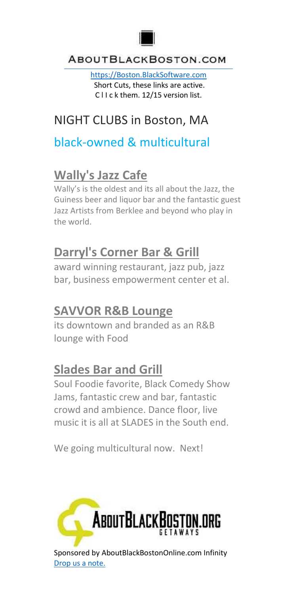

[https://Boston.BlackSoftware.com](https://boston.blacksoftware.com/) Short Cuts, these links are active. C l I c k them. 12/15 version list.

## NIGHT CLUBS in Boston, MA

### black-owned & multicultural

## **[Wally's Jazz Cafe](http://wallyscafe.com/index.html)**

Wally's is the oldest and its all about the Jazz, the Guiness beer and liquor bar and the fantastic guest Jazz Artists from Berklee and beyond who play in the world.

### **[Darryl's Corner Bar & Grill](http://www.dcbkboston.com/)**

award winning restaurant, jazz pub, jazz bar, business empowerment center et al.

## **[SAVVOR R&B Lounge](http://www.savvorbostonlounge.com/)**

its downtown and branded as an R&B lounge with Food

## **[Slades Bar and Grill](https://www.sladesbarandgrill.com/)**

Soul Foodie favorite, Black Comedy Show Jams, fantastic crew and bar, fantastic crowd and ambience. Dance floor, live music it is all at SLADES in the South end.

We going multicultural now. Next!

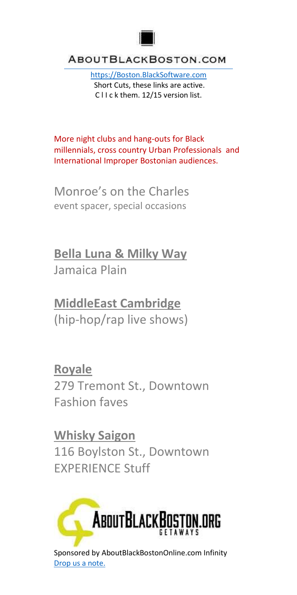

[https://Boston.BlackSoftware.com](https://boston.blacksoftware.com/) Short Cuts, these links are active. C l I c k them. 12/15 version list.

More night clubs and hang-outs for Black millennials, cross country Urban Professionals and International Improper Bostonian audiences.

Monroe's on the Charles event spacer, special occasions

**[Bella Luna & Milky Way](http://www.milkywayjp.com/)** Jamaica Plain

**[MiddleEast Cambridge](http://www.mideastoffers.com/)** (hip-hop/rap live shows)

**[Royale](http://royaleboston.com/)** 279 Tremont St., Downtown Fashion faves

**[Whisky Saigon](http://www.whiskysaigon.com/)** 116 Boylston St., Downtown EXPERIENCE Stuff

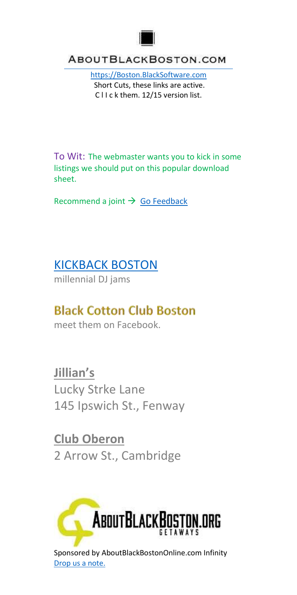

[https://Boston.BlackSoftware.com](https://boston.blacksoftware.com/) Short Cuts, these links are active. C l I c k them. 12/15 version list.

To Wit: The webmaster wants you to kick in some listings we should put on this popular download sheet.

Recommend a joint  $\rightarrow$  [Go Feedback](https://boston.blacksoftware.com/contact.htm)

### [KICKBACK BOSTON](https://twitter.com/kickbackboston)

millennial DJ jams

### **Black Cotton Club Boston**

meet them on Facebook.

# **[Jillian's](http://jilliansboston.com/)**

Lucky Strke Lane 145 Ipswich St., Fenway

**[Club Oberon](https://www.facebook.com/cluboberon/)** 2 Arrow St., Cambridge